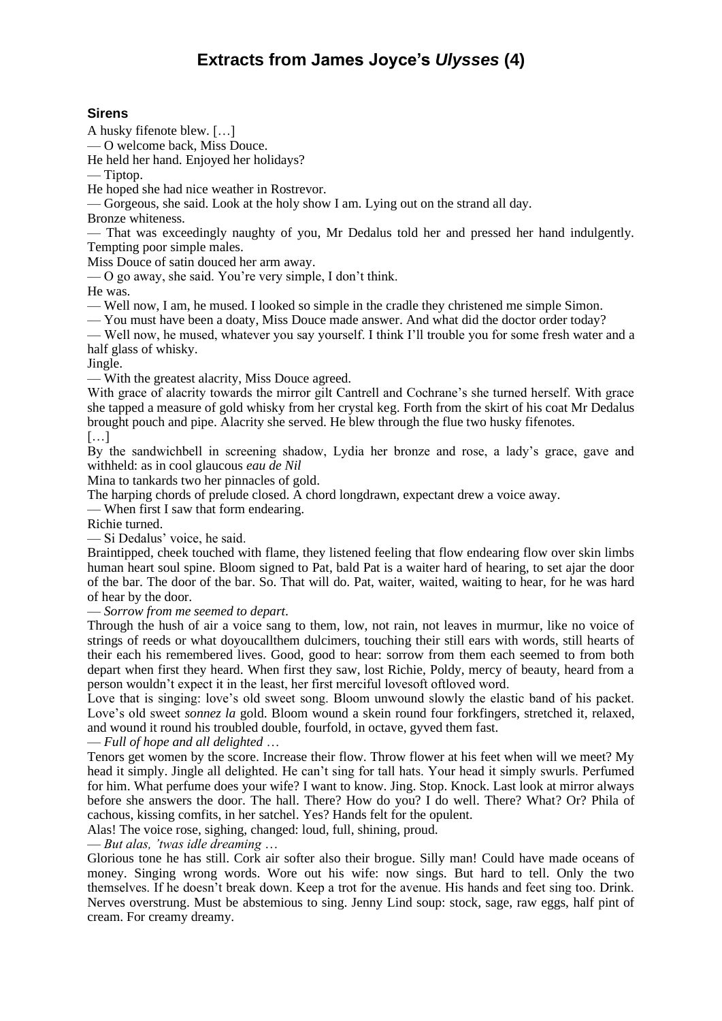# **Extracts from James Joyce's** *Ulysses* **(4)**

# **Sirens**

A husky fifenote blew. […]

— O welcome back, Miss Douce.

He held her hand. Enjoyed her holidays?

— Tiptop.

He hoped she had nice weather in Rostrevor.

— Gorgeous, she said. Look at the holy show I am. Lying out on the strand all day.

Bronze whiteness.

— That was exceedingly naughty of you, Mr Dedalus told her and pressed her hand indulgently. Tempting poor simple males.

Miss Douce of satin douced her arm away.

— O go away, she said. You're very simple, I don't think.

He was.

— Well now, I am, he mused. I looked so simple in the cradle they christened me simple Simon.

— You must have been a doaty, Miss Douce made answer. And what did the doctor order today?

— Well now, he mused, whatever you say yourself. I think I'll trouble you for some fresh water and a half glass of whisky.

Jingle.

— With the greatest alacrity, Miss Douce agreed.

With grace of alacrity towards the mirror gilt Cantrell and Cochrane's she turned herself. With grace she tapped a measure of gold whisky from her crystal keg. Forth from the skirt of his coat Mr Dedalus brought pouch and pipe. Alacrity she served. He blew through the flue two husky fifenotes.

### […]

By the sandwichbell in screening shadow, Lydia her bronze and rose, a lady's grace, gave and withheld: as in cool glaucous *eau de Nil*

Mina to tankards two her pinnacles of gold.

The harping chords of prelude closed. A chord longdrawn, expectant drew a voice away.

— When first I saw that form endearing.

Richie turned.

— Si Dedalus' voice, he said.

Braintipped, cheek touched with flame, they listened feeling that flow endearing flow over skin limbs human heart soul spine. Bloom signed to Pat, bald Pat is a waiter hard of hearing, to set ajar the door of the bar. The door of the bar. So. That will do. Pat, waiter, waited, waiting to hear, for he was hard of hear by the door.

— *Sorrow from me seemed to depart*.

Through the hush of air a voice sang to them, low, not rain, not leaves in murmur, like no voice of strings of reeds or what doyoucallthem dulcimers, touching their still ears with words, still hearts of their each his remembered lives. Good, good to hear: sorrow from them each seemed to from both depart when first they heard. When first they saw, lost Richie, Poldy, mercy of beauty, heard from a person wouldn't expect it in the least, her first merciful lovesoft oftloved word.

Love that is singing: love's old sweet song. Bloom unwound slowly the elastic band of his packet. Love's old sweet *sonnez la* gold. Bloom wound a skein round four forkfingers, stretched it, relaxed, and wound it round his troubled double, fourfold, in octave, gyved them fast.

— *Full of hope and all delighted* …

Tenors get women by the score. Increase their flow. Throw flower at his feet when will we meet? My head it simply. Jingle all delighted. He can't sing for tall hats. Your head it simply swurls. Perfumed for him. What perfume does your wife? I want to know. Jing. Stop. Knock. Last look at mirror always before she answers the door. The hall. There? How do you? I do well. There? What? Or? Phila of cachous, kissing comfits, in her satchel. Yes? Hands felt for the opulent.

Alas! The voice rose, sighing, changed: loud, full, shining, proud.

— *But alas, 'twas idle dreaming* …

Glorious tone he has still. Cork air softer also their brogue. Silly man! Could have made oceans of money. Singing wrong words. Wore out his wife: now sings. But hard to tell. Only the two themselves. If he doesn't break down. Keep a trot for the avenue. His hands and feet sing too. Drink. Nerves overstrung. Must be abstemious to sing. Jenny Lind soup: stock, sage, raw eggs, half pint of cream. For creamy dreamy.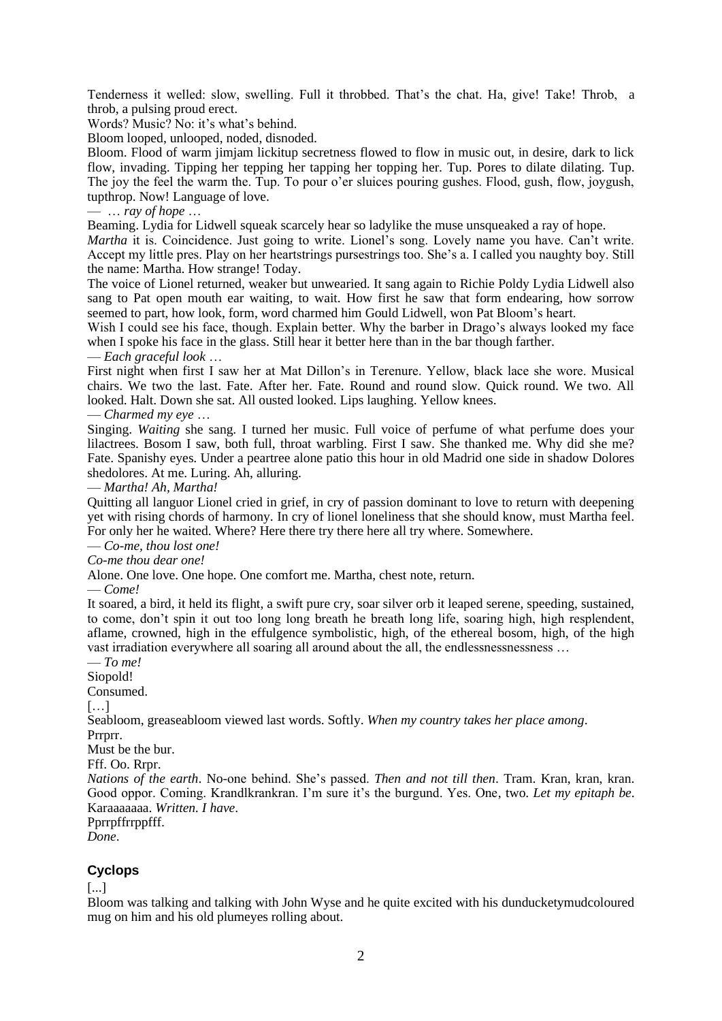Tenderness it welled: slow, swelling. Full it throbbed. That's the chat. Ha, give! Take! Throb, a throb, a pulsing proud erect.

Words? Music? No: it's what's behind.

Bloom looped, unlooped, noded, disnoded.

Bloom. Flood of warm jimjam lickitup secretness flowed to flow in music out, in desire, dark to lick flow, invading. Tipping her tepping her tapping her topping her. Tup. Pores to dilate dilating. Tup. The joy the feel the warm the. Tup. To pour o'er sluices pouring gushes. Flood, gush, flow, joygush, tupthrop. Now! Language of love.

— … *ray of hope* …

Beaming. Lydia for Lidwell squeak scarcely hear so ladylike the muse unsqueaked a ray of hope.

*Martha* it is. Coincidence. Just going to write. Lionel's song. Lovely name you have. Can't write. Accept my little pres. Play on her heartstrings pursestrings too. She's a. I called you naughty boy. Still the name: Martha. How strange! Today.

The voice of Lionel returned, weaker but unwearied. It sang again to Richie Poldy Lydia Lidwell also sang to Pat open mouth ear waiting, to wait. How first he saw that form endearing, how sorrow seemed to part, how look, form, word charmed him Gould Lidwell, won Pat Bloom's heart.

Wish I could see his face, though. Explain better. Why the barber in Drago's always looked my face when I spoke his face in the glass. Still hear it better here than in the bar though farther.

## — *Each graceful look* …

First night when first I saw her at Mat Dillon's in Terenure. Yellow, black lace she wore. Musical chairs. We two the last. Fate. After her. Fate. Round and round slow. Quick round. We two. All looked. Halt. Down she sat. All ousted looked. Lips laughing. Yellow knees.

— *Charmed my eye* …

Singing. *Waiting* she sang. I turned her music. Full voice of perfume of what perfume does your lilactrees. Bosom I saw, both full, throat warbling. First I saw. She thanked me. Why did she me? Fate. Spanishy eyes. Under a peartree alone patio this hour in old Madrid one side in shadow Dolores shedolores. At me. Luring. Ah, alluring.

— *Martha! Ah, Martha!*

Quitting all languor Lionel cried in grief, in cry of passion dominant to love to return with deepening yet with rising chords of harmony. In cry of lionel loneliness that she should know, must Martha feel. For only her he waited. Where? Here there try there here all try where. Somewhere.

— *Co-me, thou lost one!*

*Co-me thou dear one!*

Alone. One love. One hope. One comfort me. Martha, chest note, return.

— *Come!*

It soared, a bird, it held its flight, a swift pure cry, soar silver orb it leaped serene, speeding, sustained, to come, don't spin it out too long long breath he breath long life, soaring high, high resplendent, aflame, crowned, high in the effulgence symbolistic, high, of the ethereal bosom, high, of the high vast irradiation everywhere all soaring all around about the all, the endlessnessnessness …

— *To me!*

Siopold!

Consumed.

[…]

Seabloom, greaseabloom viewed last words. Softly. *When my country takes her place among*.

Prrprr.

Must be the bur.

Fff. Oo. Rrpr.

*Nations of the earth*. No-one behind. She's passed. *Then and not till then*. Tram. Kran, kran, kran. Good oppor. Coming. Krandlkrankran. I'm sure it's the burgund. Yes. One, two. *Let my epitaph be*. Karaaaaaaa. *Written. I have*.

Pprrpffrrppfff.

*Done*.

# **Cyclops**

# [...]

Bloom was talking and talking with John Wyse and he quite excited with his dunducketymudcoloured mug on him and his old plumeyes rolling about.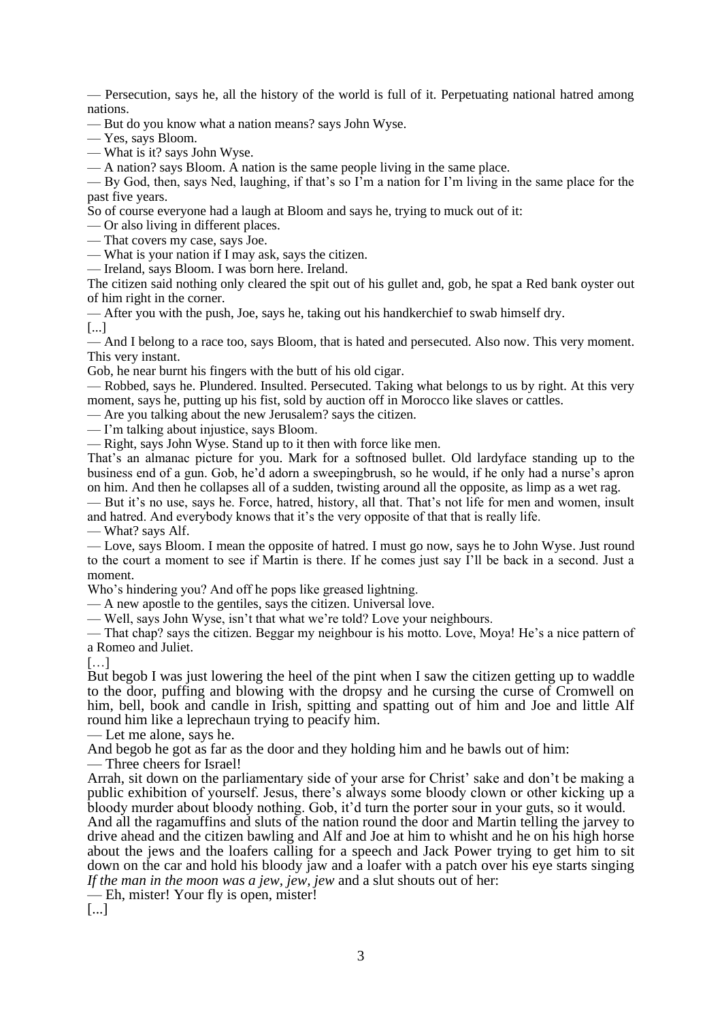— Persecution, says he, all the history of the world is full of it. Perpetuating national hatred among nations.

— But do you know what a nation means? says John Wyse.

- Yes, says Bloom.
- What is it? says John Wyse.

— A nation? says Bloom. A nation is the same people living in the same place.

 $-$  By God, then, says Ned, laughing, if that's so I'm a nation for I'm living in the same place for the past five years.

So of course everyone had a laugh at Bloom and says he, trying to muck out of it:

— Or also living in different places.

— That covers my case, says Joe.

— What is your nation if I may ask, says the citizen.

— Ireland, says Bloom. I was born here. Ireland.

The citizen said nothing only cleared the spit out of his gullet and, gob, he spat a Red bank oyster out of him right in the corner.

— After you with the push, Joe, says he, taking out his handkerchief to swab himself dry.

[...]

— And I belong to a race too, says Bloom, that is hated and persecuted. Also now. This very moment. This very instant.

Gob, he near burnt his fingers with the butt of his old cigar.

— Robbed, says he. Plundered. Insulted. Persecuted. Taking what belongs to us by right. At this very moment, says he, putting up his fist, sold by auction off in Morocco like slaves or cattles.

— Are you talking about the new Jerusalem? says the citizen.

— I'm talking about injustice, says Bloom.

— Right, says John Wyse. Stand up to it then with force like men.

That's an almanac picture for you. Mark for a softnosed bullet. Old lardyface standing up to the business end of a gun. Gob, he'd adorn a sweepingbrush, so he would, if he only had a nurse's apron on him. And then he collapses all of a sudden, twisting around all the opposite, as limp as a wet rag.

— But it's no use, says he. Force, hatred, history, all that. That's not life for men and women, insult and hatred. And everybody knows that it's the very opposite of that that is really life.

— What? says Alf.

— Love, says Bloom. I mean the opposite of hatred. I must go now, says he to John Wyse. Just round to the court a moment to see if Martin is there. If he comes just say I'll be back in a second. Just a moment.

Who's hindering you? And off he pops like greased lightning.

— A new apostle to the gentiles, says the citizen. Universal love.

— Well, says John Wyse, isn't that what we're told? Love your neighbours.

— That chap? says the citizen. Beggar my neighbour is his motto. Love, Moya! He's a nice pattern of a Romeo and Juliet.

[…]

But begob I was just lowering the heel of the pint when I saw the citizen getting up to waddle to the door, puffing and blowing with the dropsy and he cursing the curse of Cromwell on him, bell, book and candle in Irish, spitting and spatting out of him and Joe and little Alf round him like a leprechaun trying to peacify him.

— Let me alone, says he.

And begob he got as far as the door and they holding him and he bawls out of him:

— Three cheers for Israel!

Arrah, sit down on the parliamentary side of your arse for Christ' sake and don't be making a public exhibition of yourself. Jesus, there's always some bloody clown or other kicking up a bloody murder about bloody nothing. Gob, it'd turn the porter sour in your guts, so it would.

And all the ragamuffins and sluts of the nation round the door and Martin telling the jarvey to drive ahead and the citizen bawling and Alf and Joe at him to whisht and he on his high horse about the jews and the loafers calling for a speech and Jack Power trying to get him to sit down on the car and hold his bloody jaw and a loafer with a patch over his eye starts singing *If the man in the moon was a jew, jew, jew* and a slut shouts out of her:

— Eh, mister! Your fly is open, mister!

[...]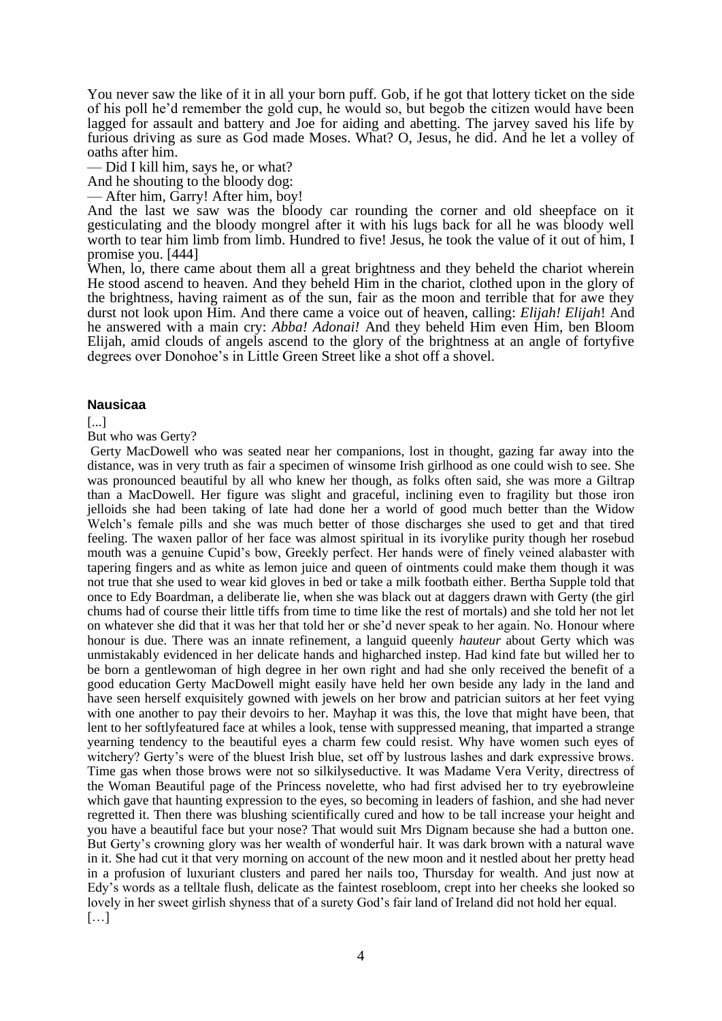You never saw the like of it in all your born puff. Gob, if he got that lottery ticket on the side of his poll he'd remember the gold cup, he would so, but begob the citizen would have been lagged for assault and battery and Joe for aiding and abetting. The jarvey saved his life by furious driving as sure as God made Moses. What? O, Jesus, he did. And he let a volley of oaths after him.

— Did I kill him, says he, or what?

And he shouting to the bloody dog:

After him, Garry! After him, boy!

And the last we saw was the bloody car rounding the corner and old sheepface on it gesticulating and the bloody mongrel after it with his lugs back for all he was bloody well worth to tear him limb from limb. Hundred to five! Jesus, he took the value of it out of him, I promise you. [444]

When, lo, there came about them all a great brightness and they beheld the chariot wherein He stood ascend to heaven. And they beheld Him in the chariot, clothed upon in the glory of the brightness, having raiment as of the sun, fair as the moon and terrible that for awe they durst not look upon Him. And there came a voice out of heaven, calling: *Elijah! Elijah*! And he answered with a main cry: *Abba! Adonai!* And they beheld Him even Him, ben Bloom Elijah, amid clouds of angels ascend to the glory of the brightness at an angle of fortyfive degrees over Donohoe's in Little Green Street like a shot off a shovel.

### **Nausicaa**

[...]

But who was Gerty?

Gerty MacDowell who was seated near her companions, lost in thought, gazing far away into the distance, was in very truth as fair a specimen of winsome Irish girlhood as one could wish to see. She was pronounced beautiful by all who knew her though, as folks often said, she was more a Giltrap than a MacDowell. Her figure was slight and graceful, inclining even to fragility but those iron jelloids she had been taking of late had done her a world of good much better than the Widow Welch's female pills and she was much better of those discharges she used to get and that tired feeling. The waxen pallor of her face was almost spiritual in its ivorylike purity though her rosebud mouth was a genuine Cupid's bow, Greekly perfect. Her hands were of finely veined alabaster with tapering fingers and as white as lemon juice and queen of ointments could make them though it was not true that she used to wear kid gloves in bed or take a milk footbath either. Bertha Supple told that once to Edy Boardman, a deliberate lie, when she was black out at daggers drawn with Gerty (the girl chums had of course their little tiffs from time to time like the rest of mortals) and she told her not let on whatever she did that it was her that told her or she'd never speak to her again. No. Honour where honour is due. There was an innate refinement, a languid queenly *hauteur* about Gerty which was unmistakably evidenced in her delicate hands and higharched instep. Had kind fate but willed her to be born a gentlewoman of high degree in her own right and had she only received the benefit of a good education Gerty MacDowell might easily have held her own beside any lady in the land and have seen herself exquisitely gowned with jewels on her brow and patrician suitors at her feet vying with one another to pay their devoirs to her. Mayhap it was this, the love that might have been, that lent to her softlyfeatured face at whiles a look, tense with suppressed meaning, that imparted a strange yearning tendency to the beautiful eyes a charm few could resist. Why have women such eyes of witchery? Gerty's were of the bluest Irish blue, set off by lustrous lashes and dark expressive brows. Time gas when those brows were not so silkilyseductive. It was Madame Vera Verity, directress of the Woman Beautiful page of the Princess novelette, who had first advised her to try eyebrowleine which gave that haunting expression to the eyes, so becoming in leaders of fashion, and she had never regretted it. Then there was blushing scientifically cured and how to be tall increase your height and you have a beautiful face but your nose? That would suit Mrs Dignam because she had a button one. But Gerty's crowning glory was her wealth of wonderful hair. It was dark brown with a natural wave in it. She had cut it that very morning on account of the new moon and it nestled about her pretty head in a profusion of luxuriant clusters and pared her nails too, Thursday for wealth. And just now at Edy's words as a telltale flush, delicate as the faintest rosebloom, crept into her cheeks she looked so lovely in her sweet girlish shyness that of a surety God's fair land of Ireland did not hold her equal. […]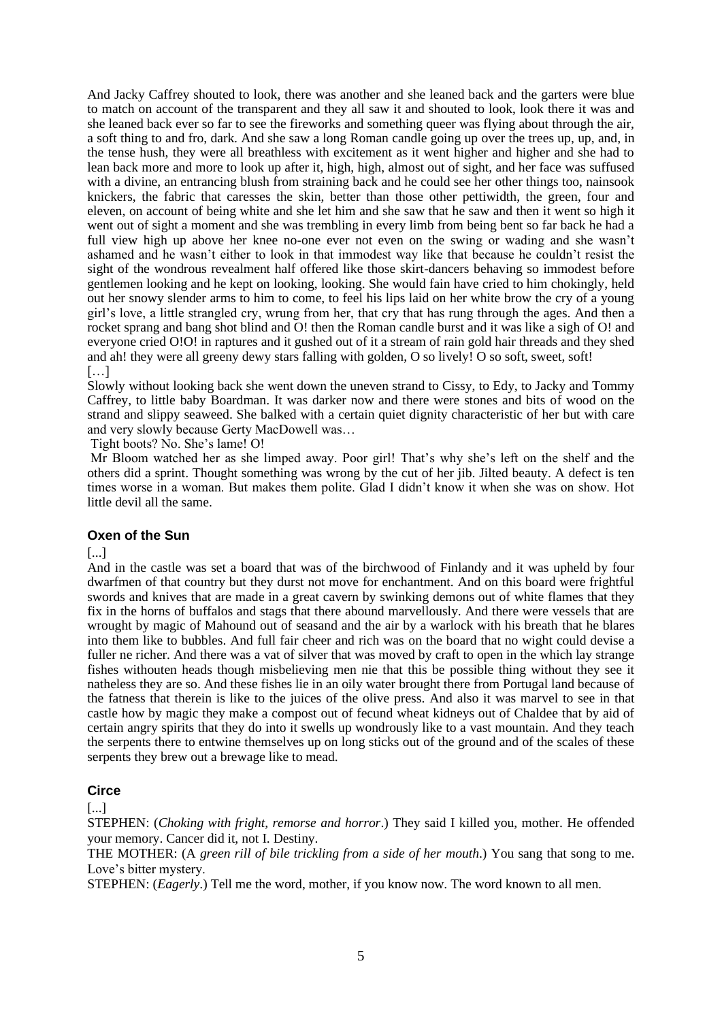And Jacky Caffrey shouted to look, there was another and she leaned back and the garters were blue to match on account of the transparent and they all saw it and shouted to look, look there it was and she leaned back ever so far to see the fireworks and something queer was flying about through the air, a soft thing to and fro, dark. And she saw a long Roman candle going up over the trees up, up, and, in the tense hush, they were all breathless with excitement as it went higher and higher and she had to lean back more and more to look up after it, high, high, almost out of sight, and her face was suffused with a divine, an entrancing blush from straining back and he could see her other things too, nainsook knickers, the fabric that caresses the skin, better than those other pettiwidth, the green, four and eleven, on account of being white and she let him and she saw that he saw and then it went so high it went out of sight a moment and she was trembling in every limb from being bent so far back he had a full view high up above her knee no-one ever not even on the swing or wading and she wasn't ashamed and he wasn't either to look in that immodest way like that because he couldn't resist the sight of the wondrous revealment half offered like those skirt-dancers behaving so immodest before gentlemen looking and he kept on looking, looking. She would fain have cried to him chokingly, held out her snowy slender arms to him to come, to feel his lips laid on her white brow the cry of a young girl's love, a little strangled cry, wrung from her, that cry that has rung through the ages. And then a rocket sprang and bang shot blind and O! then the Roman candle burst and it was like a sigh of O! and everyone cried O!O! in raptures and it gushed out of it a stream of rain gold hair threads and they shed and ah! they were all greeny dewy stars falling with golden, O so lively! O so soft, sweet, soft! […]

Slowly without looking back she went down the uneven strand to Cissy, to Edy, to Jacky and Tommy Caffrey, to little baby Boardman. It was darker now and there were stones and bits of wood on the strand and slippy seaweed. She balked with a certain quiet dignity characteristic of her but with care and very slowly because Gerty MacDowell was…

Tight boots? No. She's lame! O!

Mr Bloom watched her as she limped away. Poor girl! That's why she's left on the shelf and the others did a sprint. Thought something was wrong by the cut of her jib. Jilted beauty. A defect is ten times worse in a woman. But makes them polite. Glad I didn't know it when she was on show. Hot little devil all the same.

# **Oxen of the Sun**

[...]

And in the castle was set a board that was of the birchwood of Finlandy and it was upheld by four dwarfmen of that country but they durst not move for enchantment. And on this board were frightful swords and knives that are made in a great cavern by swinking demons out of white flames that they fix in the horns of buffalos and stags that there abound marvellously. And there were vessels that are wrought by magic of Mahound out of seasand and the air by a warlock with his breath that he blares into them like to bubbles. And full fair cheer and rich was on the board that no wight could devise a fuller ne richer. And there was a vat of silver that was moved by craft to open in the which lay strange fishes withouten heads though misbelieving men nie that this be possible thing without they see it natheless they are so. And these fishes lie in an oily water brought there from Portugal land because of the fatness that therein is like to the juices of the olive press. And also it was marvel to see in that castle how by magic they make a compost out of fecund wheat kidneys out of Chaldee that by aid of certain angry spirits that they do into it swells up wondrously like to a vast mountain. And they teach the serpents there to entwine themselves up on long sticks out of the ground and of the scales of these serpents they brew out a brewage like to mead.

# **Circe**

[...]

STEPHEN: (*Choking with fright, remorse and horror*.) They said I killed you, mother. He offended your memory. Cancer did it, not I. Destiny.

THE MOTHER: (A *green rill of bile trickling from a side of her mouth*.) You sang that song to me. Love's bitter mystery.

STEPHEN: (*Eagerly*.) Tell me the word, mother, if you know now. The word known to all men.